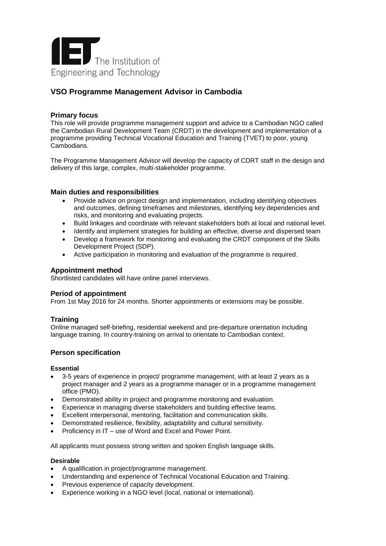

# **VSO Programme Management Advisor in Cambodia**

# **Primary focus**

This role will provide programme management support and advice to a Cambodian NGO called the Cambodian Rural Development Team (CRDT) in the development and implementation of a programme providing Technical Vocational Education and Training (TVET) to poor, young Cambodians.

The Programme Management Advisor will develop the capacity of CDRT staff in the design and delivery of this large, complex, multi-stakeholder programme.

## **Main duties and responsibilities**

- Provide advice on project design and implementation, including identifying objectives and outcomes, defining timeframes and milestones, identifying key dependencies and risks, and monitoring and evaluating projects.
- Build linkages and coordinate with relevant stakeholders both at local and national level.
- Identify and implement strategies for building an effective, diverse and dispersed team
- Develop a framework for monitoring and evaluating the CRDT component of the Skills Development Project (SDP).
- Active participation in monitoring and evaluation of the programme is required.

# **Appointment method**

Shortlisted candidates will have online panel interviews.

## **Period of appointment**

From 1st May 2016 for 24 months. Shorter appointments or extensions may be possible.

## **Training**

Online managed self-briefing, residential weekend and pre-departure orientation including language training. In country-training on arrival to orientate to Cambodian context.

## **Person specification**

## **Essential**

- 3-5 years of experience in project/ programme management, with at least 2 years as a project manager and 2 years as a programme manager or in a programme management office (PMO).
- Demonstrated ability in project and programme monitoring and evaluation.
- Experience in managing diverse stakeholders and building effective teams.
- Excellent interpersonal, mentoring, facilitation and communication skills.
- Demonstrated resilience, flexibility, adaptability and cultural sensitivity.
- Proficiency in IT use of Word and Excel and Power Point.

All applicants must possess strong written and spoken English language skills.

## **Desirable**

- A qualification in project/programme management.
- Understanding and experience of Technical Vocational Education and Training.
- Previous experience of capacity development.
- Experience working in a NGO level (local, national or international).